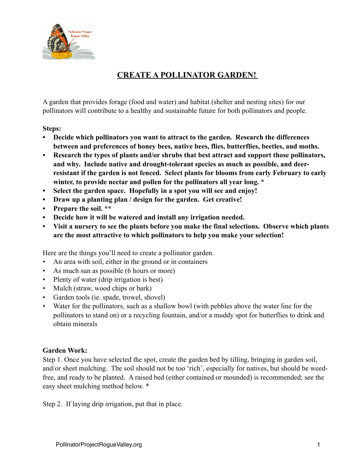

## **CREATE A POLLINATOR GARDEN!**

A garden that provides forage (food and water) and habitat (shelter and nesting sites) for our pollinators will contribute to a healthy and sustainable future for both pollinators and people.

## **Steps:**

- **• Decide which pollinators you want to attract to the garden. Research the differences between and preferences of honey bees, native bees, flies, butterflies, beetles, and moths.**
- **• Research the types of plants and/or shrubs that best attract and support those pollinators, and why. Include native and drought-tolerant species as much as possible, and deerresistant if the garden is not fenced. Select plants for blooms from early February to early winter, to provide nectar and pollen for the pollinators all year long. \***
- **• Select the garden space. Hopefully in a spot you will see and enjoy!**
- **• Draw up a planting plan / design for the garden. Get creative!**
- **• Prepare the soil. \*\***
- **• Decide how it will be watered and install any irrigation needed.**
- **• Visit a nursery to see the plants before you make the final selections. Observe which plants are the most attractive to which pollinators to help you make your selection!**

Here are the things you'll need to create a pollinator garden.

- An area with soil, either in the ground or in containers
- As much sun as possible (6 hours or more)
- Plenty of water (drip irrigation is best)
- Mulch (straw, wood chips or bark)
- Garden tools (ie. spade, trowel, shovel)
- Water for the pollinators, such as a shallow bowl (with pebbles above the water line for the pollinators to stand on) or a recycling fountain, and/or a muddy spot for butterflies to drink and obtain minerals

## **Garden Work:**

Step 1. Once you have selected the spot, create the garden bed by tilling, bringing in garden soil, and/or sheet mulching. The soil should not be too 'rich', especially for natives, but should be weedfree, and ready to be planted. A raised bed (either contained or mounded) is recommended; see the easy sheet mulching method below. \*

Step 2. If laying drip irrigation, put that in place.